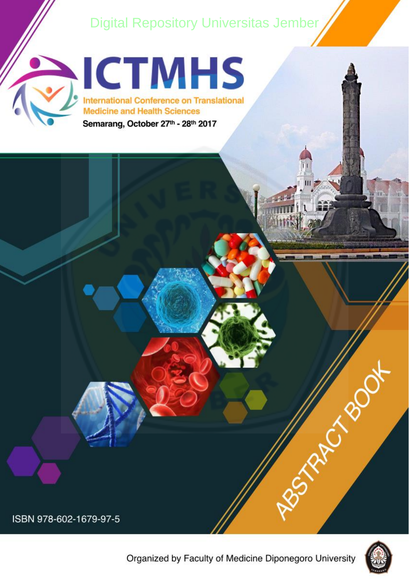# **[Digital Repository Universitas Jember](http://repository.unej.ac.id/)**





ISBN 978-602-1679-97-5





Residence of con-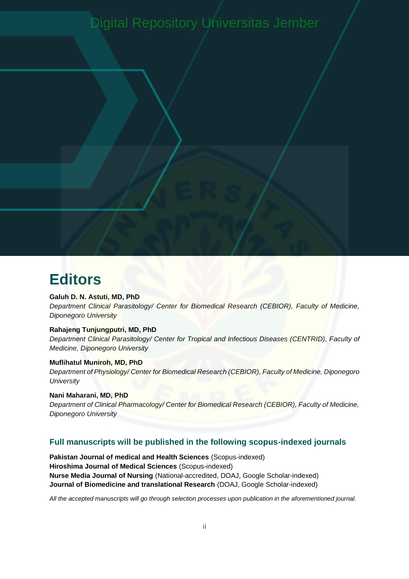# [Digital Repository Universitas Jember](http://repository.unej.ac.id/)

# **Editors**

#### **Galuh D. N. Astuti, MD, PhD**

*De[partment Clinical Parasitology/ Center for Biomedical Research \(CEBIOR\), Faculty of Medic](http://repository.unej.ac.id/)ine, Diponegoro University*

#### **Rahajeng Tunjungputri, MD, PhD**

*Department Clinical Parasitology/ Center for Tropical and Infectious Diseases (CENTRID), Faculty of Medicine, Diponegoro University*

#### **Muflihatul Muniroh, MD, PhD**

*Department of Physiology/ Center for Biomedical Research (CEBIOR), Faculty of Medicine, Diponegoro University* 

### **Nani Maharani, MD, PhD**

*Department of Clinical Pharmacology/ Center for Biomedical Research (CEBIOR), Faculty of Medicine, Diponegoro University*

#### **Full manuscripts will be published in the following scopus-indexed journals**

**Pakistan Journal of medical and Health Sciences** (Scopus-indexed) **Hiroshima Journal of Medical Sciences** (Scopus-indexed) **Nurse Media Journal of Nursing** (National-accredited, DOAJ, Google Scholar-indexed) **Journal of Biomedicine and translational Research** (DOAJ, Google Scholar-indexed)

*All the accepted manuscripts will go through selection processes upon publication in the aforementioned journal.*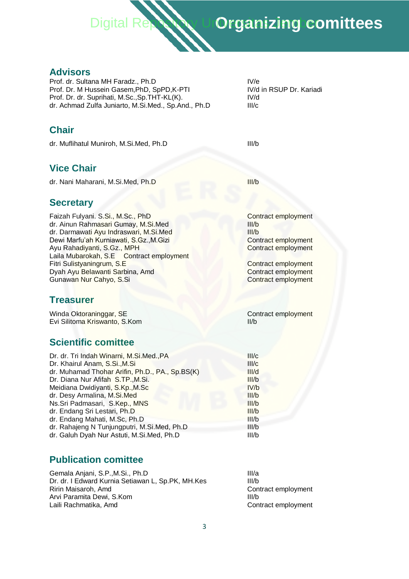

## **Advisors**

Prof. dr. Sultana MH Faradz., Ph.D IV/e Prof. Dr. M Hussein Gasem, PhD, SpPD, K-PTI IV/d in RSUP Dr. Kariadi Prof. Dr. dr. Suprihati, M.Sc., Sp.THT-KL(K). IV/d dr. Achmad Zulfa Juniarto, M.Si.Med., Sp.And., Ph.D III/c

## **Chair**

dr. Muflihatul Muniroh, M.Si.Med, Ph.D III/b

## **Vice Chair**

dr. Nani Maharani, M.Si.Med, Ph.D III/b

### **Secretary**

Faizah Fulyani. S.Si., M.Sc., PhD Contract employment dr. Ainun Rahmasari Gumay, M.Si.Med **III**/b dr. Darmawati Ayu Indraswari, M.Si.Med III/b Dewi Marfu'ah Kurniawati, S.Gz., M.Gizi Contract employment Ayu Rahadiyanti, S.Gz., MPH Contract employment Laila Mubarokah, S.E Contract employment Fitri Sulistyaningrum, S.E Contract employment Dyah Ayu Belawanti Sarbina, Amd Contract employment Gunawan Nur Cahyo, S.Si Contract employment

### **Treasurer**

Winda Oktoraninggar, SE Contract employment<br>
Fyl Silitoma Kriswanto S Kom (II/b Evi Silitoma Kriswanto, S.Kom

## **Scientific comittee**

| Dr. dr. Tri Indah Winarni, M.Si.Med., PA        | III/c |
|-------------------------------------------------|-------|
| Dr. Khairul Anam, S.Si., M.Si                   | III/c |
| dr. Muhamad Thohar Arifin, Ph.D., PA., Sp.BS(K) | III/d |
| Dr. Diana Nur Afifah S.TP., M.Si.               | III/b |
| Meidiana Dwidiyanti, S.Kp., M.Sc                | IV/b  |
| dr. Desy Armalina, M.Si.Med                     | III/b |
| Ns.Sri Padmasari, S.Kep., MNS                   | III/b |
| dr. Endang Sri Lestari, Ph.D                    | III/b |
| dr. Endang Mahati, M.Sc, Ph.D                   | III/b |
| dr. Rahajeng N Tunjungputri, M.Si.Med, Ph.D     | III/b |
| dr. Galuh Dyah Nur Astuti, M.Si.Med, Ph.D       | III/b |
|                                                 |       |

## **Publication comittee**

Gemala Anjani, S.P., M.Si., Ph.D III/a Dr. dr. I Edward Kurnia Setiawan L, Sp.PK, MH.Kes III/b Ririn Maisaroh, Amd **Contract employment** Contract employment Arvi Paramita Dewi, S.Kom III/b Laili Rachmatika, Amd **Contract employment** Contract employment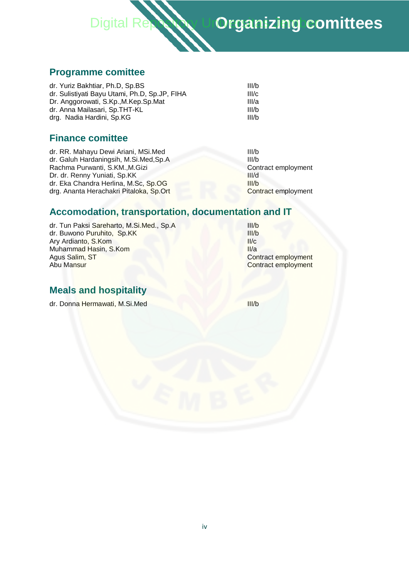

## **Programme comittee**

| dr. Yuriz Bakhtiar, Ph.D, Sp.BS               | III/b |
|-----------------------------------------------|-------|
| dr. Sulistiyati Bayu Utami, Ph.D, Sp.JP, FIHA | III/c |
| Dr. Anggorowati, S.Kp., M.Kep.Sp.Mat          | III/a |
| dr. Anna Mailasari, Sp.THT-KL                 | III/b |
| drg. Nadia Hardini, Sp.KG                     | III/b |

## **Finance comittee**

dr. RR. Mahayu Dewi Ariani, MSi.Med III/b dr. Galuh Hardaningsih, M.Si.Med,Sp.A **IIII/b** Rachma Purwanti, S.KM., M.Gizi Contract employment Dr. dr. Renny Yuniati, Sp.KK III/d dr. Eka Chandra Herlina, M.Sc, Sp.OG III/b drg. Ananta Herachakri Pitaloka, Sp.Ort Contract employment

## **A[ccomodation, transportation, documentation and IT](http://repository.unej.ac.id/)**

dr. Tun Paksi Sareharto, M.Si.Med., Sp.A<br>dr. Buwono Puruhito, Sp.KK dr. Buwono Puruhito, Sp.KK Ary Ardianto, S.Kom III/c Muhammad Hasin, S.Kom **III/a** Agus Salim, ST Contract employment Abu Mansur Contract employment

## **Meals and hospitality**

dr. Donna Hermawati, M.Si.Med **IIII/b**